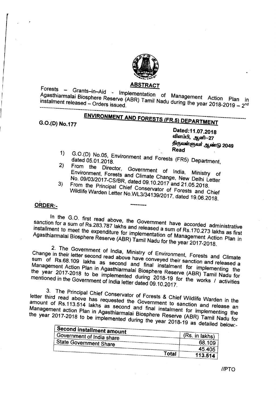

## <u>ABSTRACT</u>

Agasthiarmalai Riccology - Implementation of Management Action Plan Agasthiarmalai Biosphere Reserve (ABR) Tamil Nadu during the year 2018-2019 - 2<sup>nd</sup>

# ENVIRONMENT AND FORESTS (FR.5) DEPARTMENT

G.O.(D) No.177

I I I

1/

Dated:11.07.2018 விளம்பி, ஆனி-–27 திருவள்ளுவர் ஆண்டு 2049 Read

- 1) G.O.(D) No.05, Environment and Forests (FR5) Department,<br>dated 05.01.2018.<br>2) From the Director C  $\left\langle \right\rangle$
- 2) From the Director, Government of India, Ministry of Environment, Forests and Climate Change, New Delhi Letter No. *09103/2017;.CS/BR,* dated 09.10.2017 and 21.05.2018.
- 3) From the Principal Chief Conservator of Forests and Chief Wildlife Warden Letter No.WL3/34139/2017, dated 19.06.2018.

# ORDER:. **---------**

In the G.O. first read above, the Government have accorded administrative sanction for a sum of Rs.283.787 lakhs and released a sum of Rs.170.273 lakhs as first<br>installment to meet the expenditure for implementation of Management Action Plan in<br>Agasthiarmalai Biosphere Reserve (ABR) Tamil Nadu f Agasthiarmalai Ricenters D. Agasthiarmalai Biosphere Reserve (ABR) Tamil Nadu for the year 2017-2018.

2. The Government of India, Ministry of Environment, Forests and Climate Change in their letter second read above have conveyed their sanction and released a<br>sum of Rs.68.109 lakhs as second and final instalment for implementing the<br>Management Action Plan in Agasthiarmalai Biosphere Reserve (AB Management Action Plan is as second and final instalment for implement the same the vear 2017, 2019  $\mu$ , in Agasthiarmalai Biosphere Reserve (ABR)  $\tau$  and in  $\mu$ the year 2017-2018 to be implemented during 2018-19 for the works *I* activities mentioned in the Government of India letter dated 09.10.2017.

3. The Principal Chief Conservator of Forests & Chief Wildlife Warden in the letter third read above has requested the Government to sanction and release an amount of RS.113.514 lakhs as second and final instalment for implementing the Management action Plan in Agasthiarmalai Biosphere Reserve (ABR) Tamil Nadu for the year 2018-2018 to be implemented during the year 2018-19 as detailed below.

| . Second installment amount   |                |
|-------------------------------|----------------|
| Government of India share     | (Rs. in lakhs) |
| <b>State Government Share</b> | 68.109         |
|                               | 45.405         |
| Total                         | 113.514        |

*/IPTO*